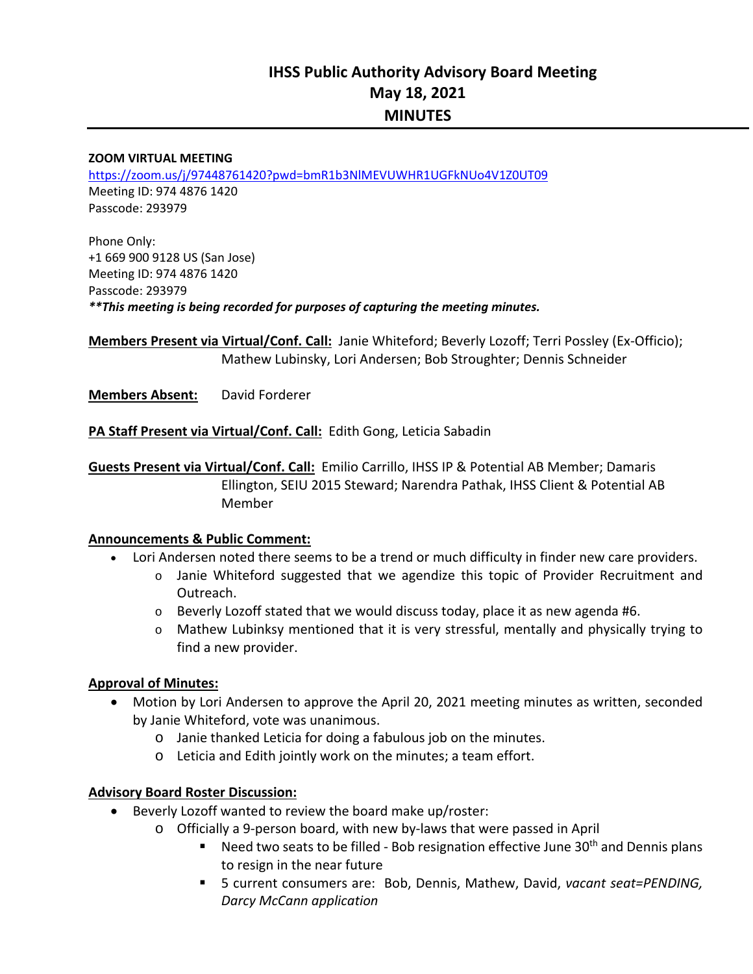# **IHSS Public Authority Advisory Board Meeting May 18, 2021 MINUTES**

#### **ZOOM VIRTUAL MEETING**

https://zoom.us/j/97448761420?pwd=bmR1b3NlMEVUWHR1UGFkNUo4V1Z0UT09 Meeting ID: 974 4876 1420 Passcode: 293979

Phone Only: +1 669 900 9128 US (San Jose) Meeting ID: 974 4876 1420 Passcode: 293979 *\*\*This meeting is being recorded for purposes of capturing the meeting minutes.* 

**Members Present via Virtual/Conf. Call:** Janie Whiteford; Beverly Lozoff; Terri Possley (Ex‐Officio); Mathew Lubinsky, Lori Andersen; Bob Stroughter; Dennis Schneider

**Members Absent:**  David Forderer

**PA Staff Present via Virtual/Conf. Call:** Edith Gong, Leticia Sabadin

**Guests Present via Virtual/Conf. Call:** Emilio Carrillo, IHSS IP & Potential AB Member; Damaris Ellington, SEIU 2015 Steward; Narendra Pathak, IHSS Client & Potential AB Member

#### **Announcements & Public Comment:**

- Lori Andersen noted there seems to be a trend or much difficulty in finder new care providers.
	- $\circ$  Janie Whiteford suggested that we agendize this topic of Provider Recruitment and Outreach.
	- $\circ$  Beverly Lozoff stated that we would discuss today, place it as new agenda #6.
	- $\circ$  Mathew Lubinksy mentioned that it is very stressful, mentally and physically trying to find a new provider.

#### **Approval of Minutes:**

- Motion by Lori Andersen to approve the April 20, 2021 meeting minutes as written, seconded by Janie Whiteford, vote was unanimous.
	- o Janie thanked Leticia for doing a fabulous job on the minutes.
	- o Leticia and Edith jointly work on the minutes; a team effort.

#### **Advisory Board Roster Discussion:**

- Beverly Lozoff wanted to review the board make up/roster:
	- o Officially a 9‐person board, with new by‐laws that were passed in April
		- Need two seats to be filled Bob resignation effective June  $30<sup>th</sup>$  and Dennis plans to resign in the near future
		- 5 current consumers are: Bob, Dennis, Mathew, David, *vacant seat=PENDING, Darcy McCann application*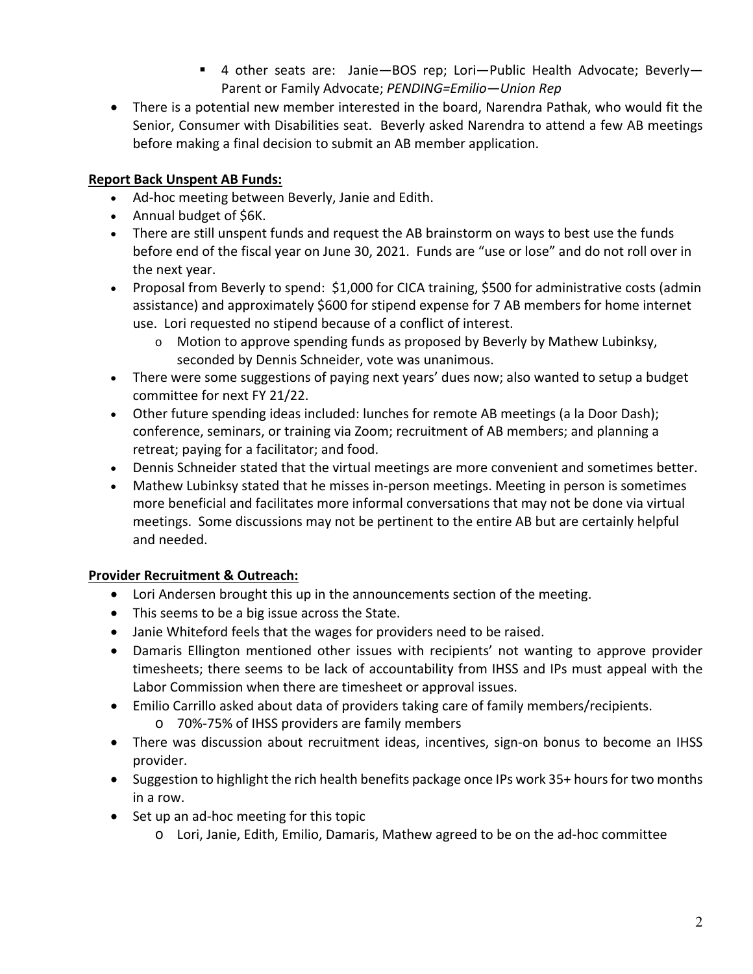- 4 other seats are: Janie-BOS rep; Lori-Public Health Advocate; Beverly-Parent or Family Advocate; *PENDING=Emilio—Union Rep*
- There is a potential new member interested in the board, Narendra Pathak, who would fit the Senior, Consumer with Disabilities seat. Beverly asked Narendra to attend a few AB meetings before making a final decision to submit an AB member application.

## **Report Back Unspent AB Funds:**

- Ad-hoc meeting between Beverly, Janie and Edith.
- Annual budget of \$6K.
- There are still unspent funds and request the AB brainstorm on ways to best use the funds before end of the fiscal year on June 30, 2021. Funds are "use or lose" and do not roll over in the next year.
- Proposal from Beverly to spend: \$1,000 for CICA training, \$500 for administrative costs (admin assistance) and approximately \$600 for stipend expense for 7 AB members for home internet use. Lori requested no stipend because of a conflict of interest.
	- o Motion to approve spending funds as proposed by Beverly by Mathew Lubinksy, seconded by Dennis Schneider, vote was unanimous.
- There were some suggestions of paying next years' dues now; also wanted to setup a budget committee for next FY 21/22.
- Other future spending ideas included: lunches for remote AB meetings (a la Door Dash); conference, seminars, or training via Zoom; recruitment of AB members; and planning a retreat; paying for a facilitator; and food.
- Dennis Schneider stated that the virtual meetings are more convenient and sometimes better.
- Mathew Lubinksy stated that he misses in‐person meetings. Meeting in person is sometimes more beneficial and facilitates more informal conversations that may not be done via virtual meetings. Some discussions may not be pertinent to the entire AB but are certainly helpful and needed.

# **Provider Recruitment & Outreach:**

- Lori Andersen brought this up in the announcements section of the meeting.
- This seems to be a big issue across the State.
- Janie Whiteford feels that the wages for providers need to be raised.
- Damaris Ellington mentioned other issues with recipients' not wanting to approve provider timesheets; there seems to be lack of accountability from IHSS and IPs must appeal with the Labor Commission when there are timesheet or approval issues.
- Emilio Carrillo asked about data of providers taking care of family members/recipients.
	- o 70%‐75% of IHSS providers are family members
- There was discussion about recruitment ideas, incentives, sign-on bonus to become an IHSS provider.
- Suggestion to highlight the rich health benefits package once IPs work 35+ hours for two months in a row.
- Set up an ad-hoc meeting for this topic
	- o Lori, Janie, Edith, Emilio, Damaris, Mathew agreed to be on the ad‐hoc committee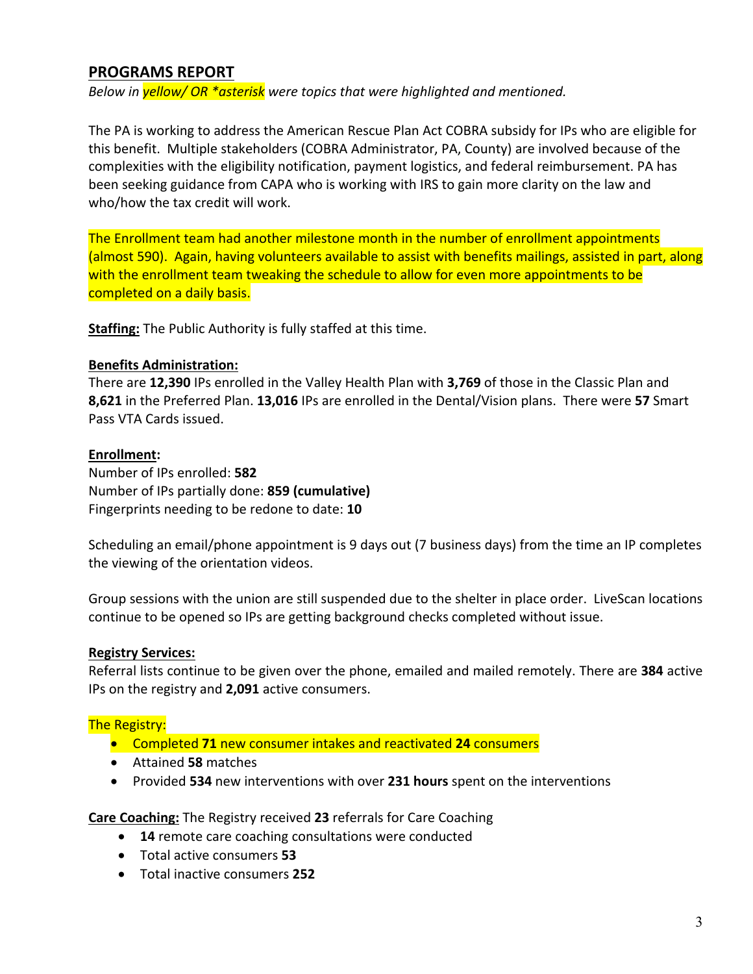## **PROGRAMS REPORT**

*Below in yellow/ OR \*asterisk were topics that were highlighted and mentioned.* 

The PA is working to address the American Rescue Plan Act COBRA subsidy for IPs who are eligible for this benefit. Multiple stakeholders (COBRA Administrator, PA, County) are involved because of the complexities with the eligibility notification, payment logistics, and federal reimbursement. PA has been seeking guidance from CAPA who is working with IRS to gain more clarity on the law and who/how the tax credit will work.

The Enrollment team had another milestone month in the number of enrollment appointments (almost 590). Again, having volunteers available to assist with benefits mailings, assisted in part, along with the enrollment team tweaking the schedule to allow for even more appointments to be completed on a daily basis.

**Staffing:** The Public Authority is fully staffed at this time.

#### **Benefits Administration:**

There are **12,390** IPs enrolled in the Valley Health Plan with **3,769** of those in the Classic Plan and **8,621** in the Preferred Plan. **13,016** IPs are enrolled in the Dental/Vision plans. There were **57** Smart Pass VTA Cards issued.

#### **Enrollment:**

Number of IPs enrolled: **582**  Number of IPs partially done: **859 (cumulative)** Fingerprints needing to be redone to date: **10** 

Scheduling an email/phone appointment is 9 days out (7 business days) from the time an IP completes the viewing of the orientation videos.

Group sessions with the union are still suspended due to the shelter in place order. LiveScan locations continue to be opened so IPs are getting background checks completed without issue.

#### **Registry Services:**

Referral lists continue to be given over the phone, emailed and mailed remotely. There are **384** active IPs on the registry and **2,091** active consumers.

#### The Registry:

- Completed **71** new consumer intakes and reactivated **24** consumers
- Attained **58** matches
- Provided **534** new interventions with over **231 hours** spent on the interventions

**Care Coaching:** The Registry received **23** referrals for Care Coaching

- **14** remote care coaching consultations were conducted
- Total active consumers **53**
- Total inactive consumers **252**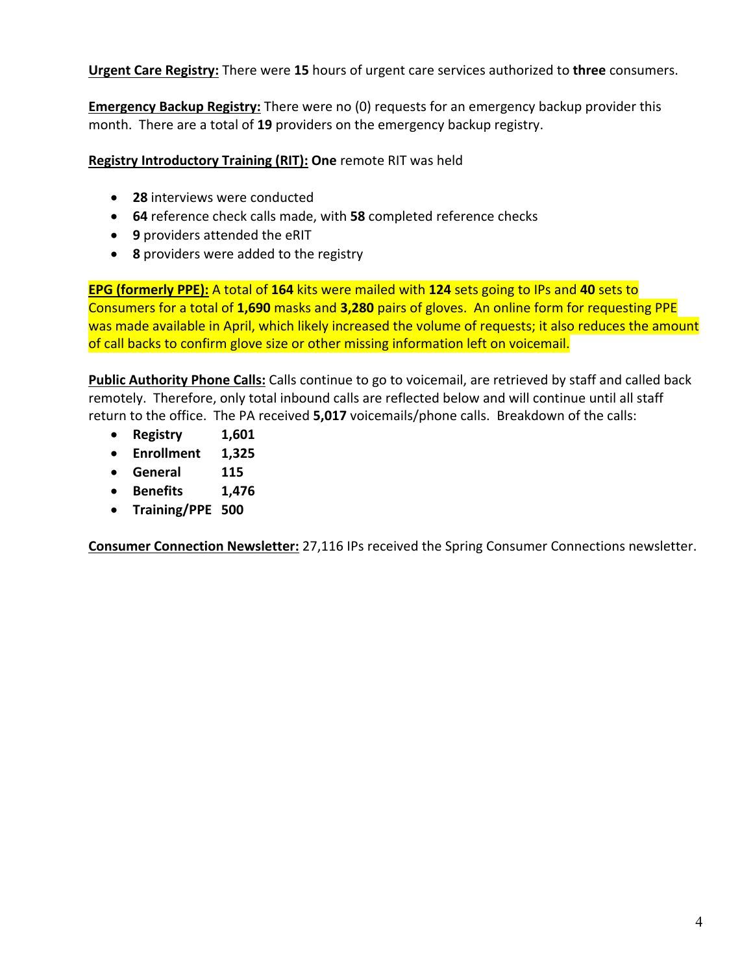**Urgent Care Registry:** There were **15** hours of urgent care services authorized to **three** consumers.

**Emergency Backup Registry:** There were no (0) requests for an emergency backup provider this month. There are a total of **19** providers on the emergency backup registry.

**Registry Introductory Training (RIT): One** remote RIT was held

- **28** interviews were conducted
- **64** reference check calls made, with **58** completed reference checks
- **9** providers attended the eRIT
- **8** providers were added to the registry

**EPG (formerly PPE):** A total of **164** kits were mailed with **124** sets going to IPs and **40** sets to Consumers for a total of **1,690** masks and **3,280** pairs of gloves. An online form for requesting PPE was made available in April, which likely increased the volume of requests; it also reduces the amount of call backs to confirm glove size or other missing information left on voicemail.

**Public Authority Phone Calls:** Calls continue to go to voicemail, are retrieved by staff and called back remotely. Therefore, only total inbound calls are reflected below and will continue until all staff return to the office. The PA received **5,017** voicemails/phone calls. Breakdown of the calls:

- **Registry 1,601**
- **Enrollment 1,325**
- **General 115**
- **Benefits 1,476**
- **Training/PPE 500**

**Consumer Connection Newsletter:** 27,116 IPs received the Spring Consumer Connections newsletter.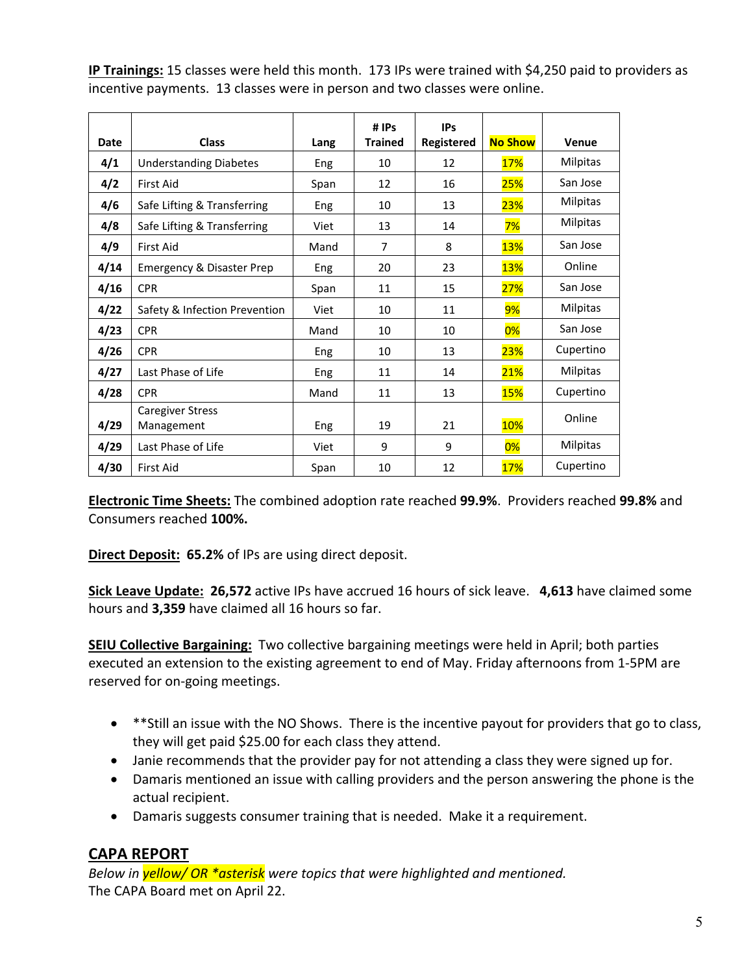**IP Trainings:** 15 classes were held this month. 173 IPs were trained with \$4,250 paid to providers as incentive payments. 13 classes were in person and two classes were online.

|      |                                      |            | #IPs           | <b>IPs</b> |                |                 |
|------|--------------------------------------|------------|----------------|------------|----------------|-----------------|
| Date | <b>Class</b>                         | Lang       | <b>Trained</b> | Registered | <b>No Show</b> | Venue           |
| 4/1  | <b>Understanding Diabetes</b>        | Eng        | 10             | 12         | 17%            | Milpitas        |
| 4/2  | <b>First Aid</b>                     | Span       | 12             | 16         | 25%            | San Jose        |
| 4/6  | Safe Lifting & Transferring          | Eng        | 10             | 13         | 23%            | Milpitas        |
| 4/8  | Safe Lifting & Transferring          | Viet       | 13             | 14         | 7%             | Milpitas        |
| 4/9  | <b>First Aid</b>                     | Mand       | 7              | 8          | <b>13%</b>     | San Jose        |
| 4/14 | <b>Emergency &amp; Disaster Prep</b> | Eng        | 20             | 23         | <b>13%</b>     | Online          |
| 4/16 | <b>CPR</b>                           | Span       | 11             | 15         | 27%            | San Jose        |
| 4/22 | Safety & Infection Prevention        | Viet       | 10             | 11         | 9%             | Milpitas        |
| 4/23 | <b>CPR</b>                           | Mand       | 10             | 10         | 0%             | San Jose        |
| 4/26 | <b>CPR</b>                           | Eng        | 10             | 13         | 23%            | Cupertino       |
| 4/27 | Last Phase of Life                   | Eng        | 11             | 14         | 21%            | <b>Milpitas</b> |
| 4/28 | <b>CPR</b>                           | Mand       | 11             | 13         | <b>15%</b>     | Cupertino       |
|      | <b>Caregiver Stress</b>              |            |                |            |                | Online          |
| 4/29 | Management                           | <b>Eng</b> | 19             | 21         | <b>10%</b>     |                 |
| 4/29 | Last Phase of Life                   | Viet       | 9              | 9          | $0\%$          | <b>Milpitas</b> |
| 4/30 | <b>First Aid</b>                     | Span       | 10             | 12         | 17%            | Cupertino       |

**Electronic Time Sheets:** The combined adoption rate reached **99.9%**. Providers reached **99.8%** and Consumers reached **100%.**

**Direct Deposit: 65.2%** of IPs are using direct deposit.

**Sick Leave Update: 26,572** active IPs have accrued 16 hours of sick leave. **4,613** have claimed some hours and **3,359** have claimed all 16 hours so far.

**SEIU Collective Bargaining:** Two collective bargaining meetings were held in April; both parties executed an extension to the existing agreement to end of May. Friday afternoons from 1‐5PM are reserved for on‐going meetings.

- \*\*Still an issue with the NO Shows. There is the incentive payout for providers that go to class, they will get paid \$25.00 for each class they attend.
- Janie recommends that the provider pay for not attending a class they were signed up for.
- Damaris mentioned an issue with calling providers and the person answering the phone is the actual recipient.
- Damaris suggests consumer training that is needed. Make it a requirement.

# **CAPA REPORT**

*Below in yellow/ OR \*asterisk were topics that were highlighted and mentioned.*  The CAPA Board met on April 22.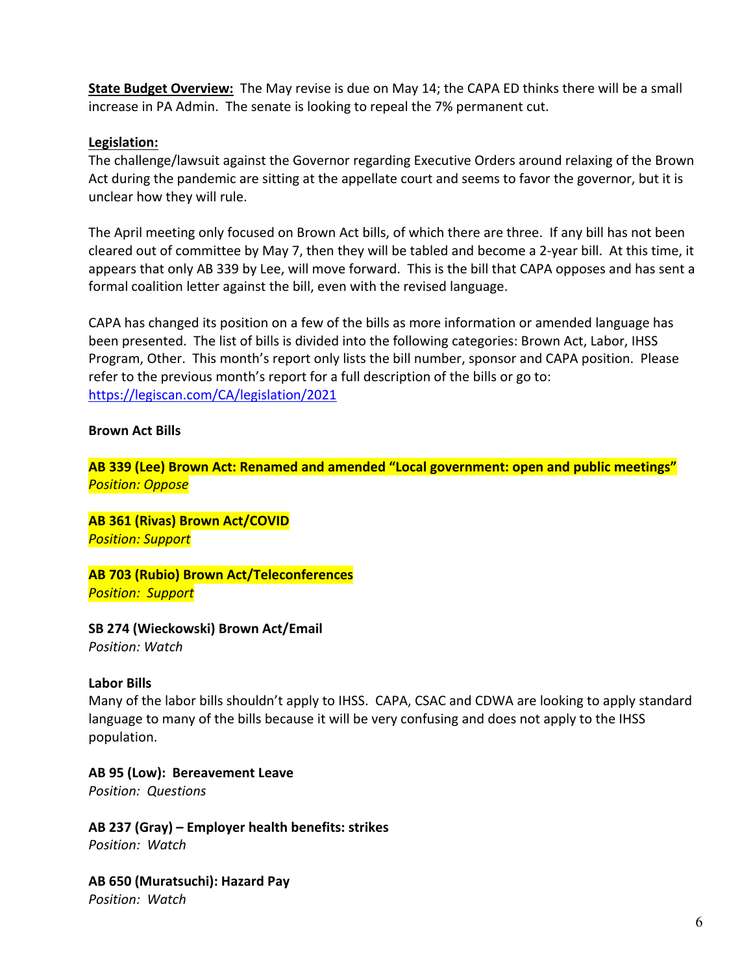**State Budget Overview:** The May revise is due on May 14; the CAPA ED thinks there will be a small increase in PA Admin. The senate is looking to repeal the 7% permanent cut.

#### **Legislation:**

The challenge/lawsuit against the Governor regarding Executive Orders around relaxing of the Brown Act during the pandemic are sitting at the appellate court and seems to favor the governor, but it is unclear how they will rule.

The April meeting only focused on Brown Act bills, of which there are three. If any bill has not been cleared out of committee by May 7, then they will be tabled and become a 2‐year bill. At this time, it appears that only AB 339 by Lee, will move forward. This is the bill that CAPA opposes and has sent a formal coalition letter against the bill, even with the revised language.

CAPA has changed its position on a few of the bills as more information or amended language has been presented. The list of bills is divided into the following categories: Brown Act, Labor, IHSS Program, Other. This month's report only lists the bill number, sponsor and CAPA position. Please refer to the previous month's report for a full description of the bills or go to: https://legiscan.com/CA/legislation/2021

#### **Brown Act Bills**

**AB 339 (Lee) Brown Act: Renamed and amended "Local government: open and public meetings"**  *Position: Oppose*

**AB 361 (Rivas) Brown Act/COVID**  *Position: Support* 

**AB 703 (Rubio) Brown Act/Teleconferences**  *Position: Support*

**SB 274 (Wieckowski) Brown Act/Email** 

*Position: Watch* 

#### **Labor Bills**

Many of the labor bills shouldn't apply to IHSS. CAPA, CSAC and CDWA are looking to apply standard language to many of the bills because it will be very confusing and does not apply to the IHSS population.

#### **AB 95 (Low): Bereavement Leave**

*Position: Questions*

**AB 237 (Gray) – Employer health benefits: strikes** 

*Position: Watch* 

**AB 650 (Muratsuchi): Hazard Pay** 

*Position: Watch*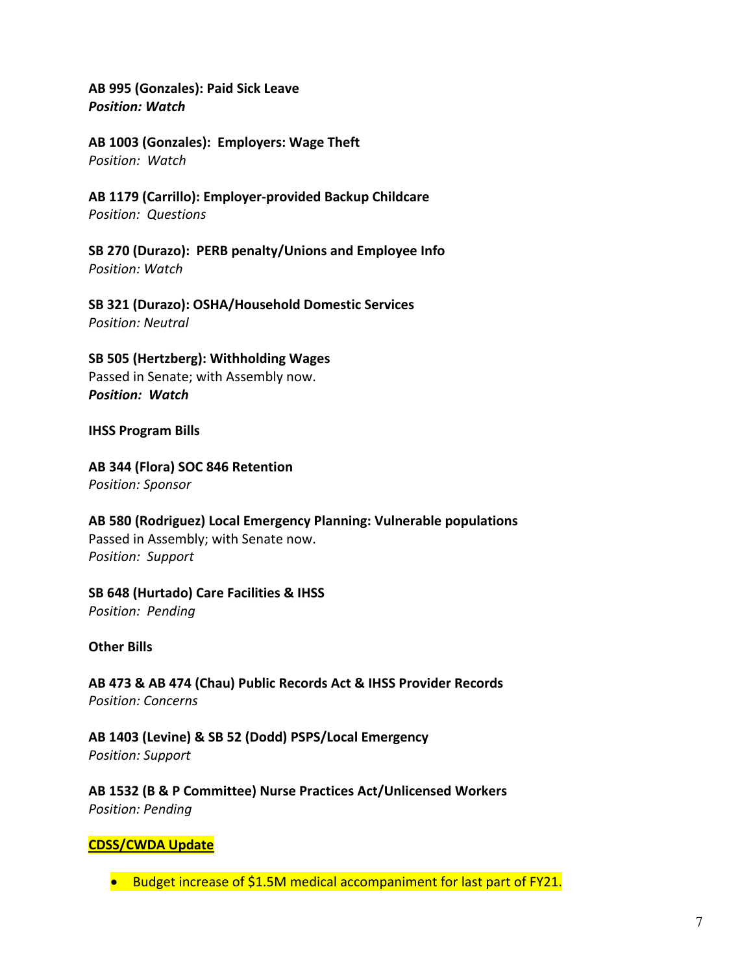**AB 995 (Gonzales): Paid Sick Leave** *Position: Watch* 

**AB 1003 (Gonzales): Employers: Wage Theft**  *Position: Watch* 

**AB 1179 (Carrillo): Employer‐provided Backup Childcare**  *Position: Questions* 

**SB 270 (Durazo): PERB penalty/Unions and Employee Info**  *Position: Watch* 

**SB 321 (Durazo): OSHA/Household Domestic Services**  *Position: Neutral* 

**SB 505 (Hertzberg): Withholding Wages**  Passed in Senate; with Assembly now. *Position: Watch* 

**IHSS Program Bills** 

# **AB 344 (Flora) SOC 846 Retention**

*Position: Sponsor* 

**AB 580 (Rodriguez) Local Emergency Planning: Vulnerable populations**  Passed in Assembly; with Senate now. *Position: Support* 

**SB 648 (Hurtado) Care Facilities & IHSS** 

*Position: Pending*

**Other Bills** 

**AB 473 & AB 474 (Chau) Public Records Act & IHSS Provider Records**  *Position: Concerns* 

**AB 1403 (Levine) & SB 52 (Dodd) PSPS/Local Emergency**  *Position: Support*

**AB 1532 (B & P Committee) Nurse Practices Act/Unlicensed Workers**  *Position: Pending* 

## **CDSS/CWDA Update**

● Budget increase of \$1.5M medical accompaniment for last part of FY21.